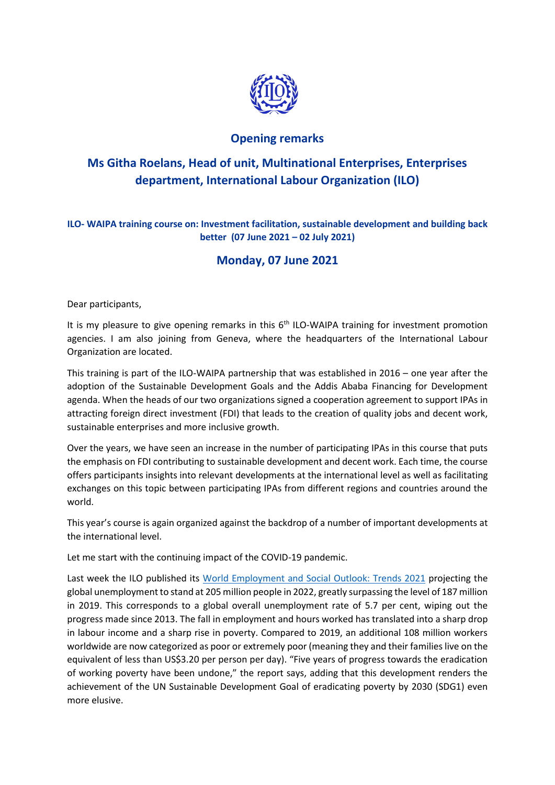

## **Opening remarks**

## **Ms Githa Roelans, Head of unit, Multinational Enterprises, Enterprises department, International Labour Organization (ILO)**

**ILO- WAIPA training course on: Investment facilitation, sustainable development and building back better (07 June 2021 – 02 July 2021)**

## **Monday, 07 June 2021**

Dear participants,

It is my pleasure to give opening remarks in this 6<sup>th</sup> ILO-WAIPA training for investment promotion agencies. I am also joining from Geneva, where the headquarters of the International Labour Organization are located.

This training is part of the ILO-WAIPA partnership that was established in 2016 – one year after the adoption of the Sustainable Development Goals and the Addis Ababa Financing for Development agenda. When the heads of our two organizations signed a cooperation agreement to support IPAs in attracting foreign direct investment (FDI) that leads to the creation of quality jobs and decent work, sustainable enterprises and more inclusive growth.

Over the years, we have seen an increase in the number of participating IPAs in this course that puts the emphasis on FDI contributing to sustainable development and decent work. Each time, the course offers participants insights into relevant developments at the international level as well as facilitating exchanges on this topic between participating IPAs from different regions and countries around the world.

This year's course is again organized against the backdrop of a number of important developments at the international level.

Let me start with the continuing impact of the COVID-19 pandemic.

Last week the ILO published its [World Employment and Social Outlook: Trends 2021](https://www.ilo.org/wcmsp5/groups/public/---dgreports/---dcomm/---publ/documents/publication/wcms_795453.pdf) projecting the global unemployment to stand at 205 million people in 2022, greatly surpassing the level of 187 million in 2019. This corresponds to a global overall unemployment rate of 5.7 per cent, wiping out the progress made since 2013. The fall in employment and hours worked has translated into a sharp drop in labour income and a sharp rise in poverty. Compared to 2019, an additional 108 million workers worldwide are now categorized as poor or extremely poor (meaning they and their families live on the equivalent of less than US\$3.20 per person per day). "Five years of progress towards the eradication of working poverty have been undone," the report says, adding that this development renders the achievement of the UN Sustainable Development Goal of eradicating poverty by 2030 (SDG1) even more elusive.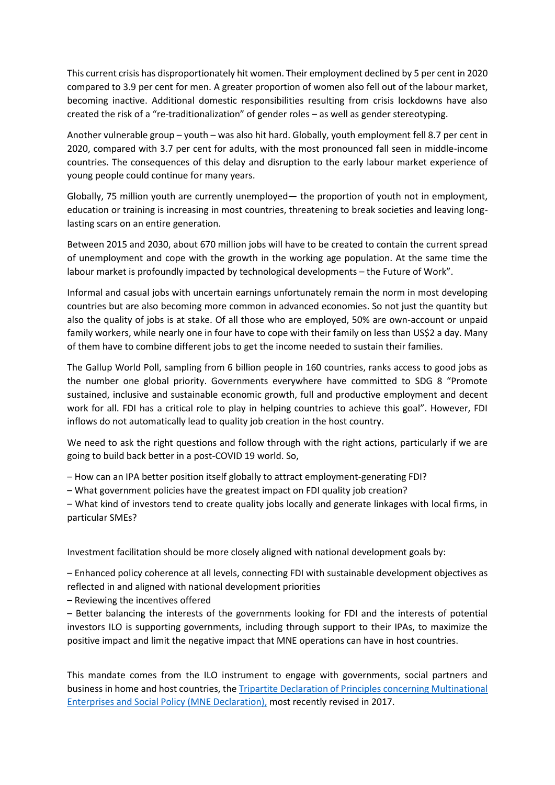This current crisis has disproportionately hit women. Their employment declined by 5 per cent in 2020 compared to 3.9 per cent for men. A greater proportion of women also fell out of the labour market, becoming inactive. Additional domestic responsibilities resulting from crisis lockdowns have also created the risk of a "re-traditionalization" of gender roles – as well as gender stereotyping.

Another vulnerable group – youth – was also hit hard. Globally, youth employment fell 8.7 per cent in 2020, compared with 3.7 per cent for adults, with the most pronounced fall seen in middle-income countries. The consequences of this delay and disruption to the early labour market experience of young people could continue for many years.

Globally, 75 million youth are currently unemployed— the proportion of youth not in employment, education or training is increasing in most countries, threatening to break societies and leaving longlasting scars on an entire generation.

Between 2015 and 2030, about 670 million jobs will have to be created to contain the current spread of unemployment and cope with the growth in the working age population. At the same time the labour market is profoundly impacted by technological developments – the Future of Work".

Informal and casual jobs with uncertain earnings unfortunately remain the norm in most developing countries but are also becoming more common in advanced economies. So not just the quantity but also the quality of jobs is at stake. Of all those who are employed, 50% are own-account or unpaid family workers, while nearly one in four have to cope with their family on less than US\$2 a day. Many of them have to combine different jobs to get the income needed to sustain their families.

The Gallup World Poll, sampling from 6 billion people in 160 countries, ranks access to good jobs as the number one global priority. Governments everywhere have committed to SDG 8 "Promote sustained, inclusive and sustainable economic growth, full and productive employment and decent work for all. FDI has a critical role to play in helping countries to achieve this goal". However, FDI inflows do not automatically lead to quality job creation in the host country.

We need to ask the right questions and follow through with the right actions, particularly if we are going to build back better in a post-COVID 19 world. So,

– How can an IPA better position itself globally to attract employment-generating FDI?

– What government policies have the greatest impact on FDI quality job creation?

– What kind of investors tend to create quality jobs locally and generate linkages with local firms, in particular SMEs?

Investment facilitation should be more closely aligned with national development goals by:

– Enhanced policy coherence at all levels, connecting FDI with sustainable development objectives as reflected in and aligned with national development priorities

– Reviewing the incentives offered

– Better balancing the interests of the governments looking for FDI and the interests of potential investors ILO is supporting governments, including through support to their IPAs, to maximize the positive impact and limit the negative impact that MNE operations can have in host countries.

This mandate comes from the ILO instrument to engage with governments, social partners and business in home and host countries, th[e Tripartite Declaration of Principles concerning Multinational](http://www.ilo.org/mnedeclaration)  [Enterprises and Social Policy \(MNE Declaration\),](http://www.ilo.org/mnedeclaration) most recently revised in 2017.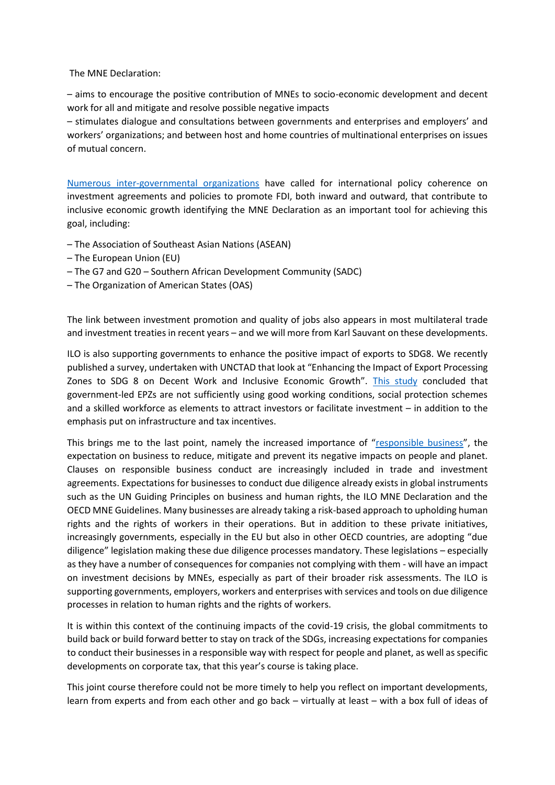The MNE Declaration:

– aims to encourage the positive contribution of MNEs to socio-economic development and decent work for all and mitigate and resolve possible negative impacts

– stimulates dialogue and consultations between governments and enterprises and employers' and workers' organizations; and between host and home countries of multinational enterprises on issues of mutual concern.

[Numerous inter-governmental organizations](https://www.ilo.org/empent/areas/mne-declaration/WCMS_570367/lang--en/index.htm) have called for international policy coherence on investment agreements and policies to promote FDI, both inward and outward, that contribute to inclusive economic growth identifying the MNE Declaration as an important tool for achieving this goal, including:

- The Association of Southeast Asian Nations (ASEAN)
- The European Union (EU)
- The G7 and G20 Southern African Development Community (SADC)
- The Organization of American States (OAS)

The link between investment promotion and quality of jobs also appears in most multilateral trade and investment treaties in recent years – and we will more from Karl Sauvant on these developments.

ILO is also supporting governments to enhance the positive impact of exports to SDG8. We recently published a survey, undertaken with UNCTAD that look at "Enhancing the Impact of Export Processing Zones to SDG 8 on Decent Work and Inclusive Economic Growth". [This study](https://www.ilo.org/wcmsp5/groups/public/---ed_emp/---emp_ent/---multi/documents/publication/wcms_739544.pdf) concluded that government-led EPZs are not sufficiently using good working conditions, social protection schemes and a skilled workforce as elements to attract investors or facilitate investment – in addition to the emphasis put on infrastructure and tax incentives.

This brings me to the last point, namely the increased importance of "[responsible business](https://www.ilo.org/empent/areas/mne-declaration/WCMS_763742/lang--en/index.htm)", the expectation on business to reduce, mitigate and prevent its negative impacts on people and planet. Clauses on responsible business conduct are increasingly included in trade and investment agreements. Expectations for businesses to conduct due diligence already exists in global instruments such as the UN Guiding Principles on business and human rights, the ILO MNE Declaration and the OECD MNE Guidelines. Many businesses are already taking a risk-based approach to upholding human rights and the rights of workers in their operations. But in addition to these private initiatives, increasingly governments, especially in the EU but also in other OECD countries, are adopting "due diligence" legislation making these due diligence processes mandatory. These legislations – especially as they have a number of consequences for companies not complying with them - will have an impact on investment decisions by MNEs, especially as part of their broader risk assessments. The ILO is supporting governments, employers, workers and enterprises with services and tools on due diligence processes in relation to human rights and the rights of workers.

It is within this context of the continuing impacts of the covid-19 crisis, the global commitments to build back or build forward better to stay on track of the SDGs, increasing expectations for companies to conduct their businesses in a responsible way with respect for people and planet, as well as specific developments on corporate tax, that this year's course is taking place.

This joint course therefore could not be more timely to help you reflect on important developments, learn from experts and from each other and go back – virtually at least – with a box full of ideas of